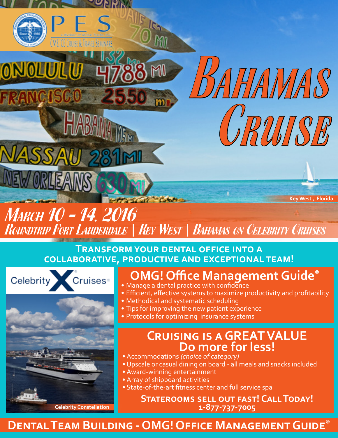

### **Transform your dental office into a collaborative, productive and exceptional team!**



ONOLULU



AHAMAS

CRUISE

- Manage a dental practice with confidence
- Efficient, effective systems to maximize productivity and profitability
- Methodical and systematic scheduling
- Tips for improving the new patient experience
	- Protocols for optimizing insurance systems

# **Cruising is a GREAT VALUE Do more for less!**<br>• Accommodations (choice of category)

- 
- Upscale or casual dining on board all meals and snacks included
- Award-winning entertainment
- Array of shipboard activities
- State-of-the-art fitness center and full service spa

**Staterooms sell out fast! Call Today! Celebrity Constellation 1-877-737-7005**

### **Dental Team Building - OMG! Office Management Guide®**